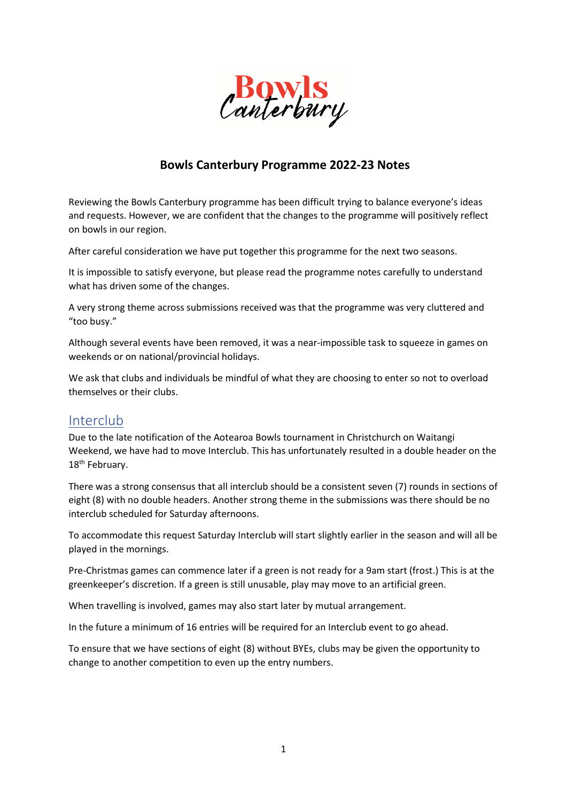

## **Bowls Canterbury Programme 2022-23 Notes**

Reviewing the Bowls Canterbury programme has been difficult trying to balance everyone's ideas and requests. However, we are confident that the changes to the programme will positively reflect on bowls in our region.

After careful consideration we have put together this programme for the next two seasons.

It is impossible to satisfy everyone, but please read the programme notes carefully to understand what has driven some of the changes.

A very strong theme across submissions received was that the programme was very cluttered and "too busy."

Although several events have been removed, it was a near-impossible task to squeeze in games on weekends or on national/provincial holidays.

We ask that clubs and individuals be mindful of what they are choosing to enter so not to overload themselves or their clubs.

# Interclub

Due to the late notification of the Aotearoa Bowls tournament in Christchurch on Waitangi Weekend, we have had to move Interclub. This has unfortunately resulted in a double header on the 18<sup>th</sup> February.

There was a strong consensus that all interclub should be a consistent seven (7) rounds in sections of eight (8) with no double headers. Another strong theme in the submissions was there should be no interclub scheduled for Saturday afternoons.

To accommodate this request Saturday Interclub will start slightly earlier in the season and will all be played in the mornings.

Pre-Christmas games can commence later if a green is not ready for a 9am start (frost.) This is at the greenkeeper's discretion. If a green is still unusable, play may move to an artificial green.

When travelling is involved, games may also start later by mutual arrangement.

In the future a minimum of 16 entries will be required for an Interclub event to go ahead.

To ensure that we have sections of eight (8) without BYEs, clubs may be given the opportunity to change to another competition to even up the entry numbers.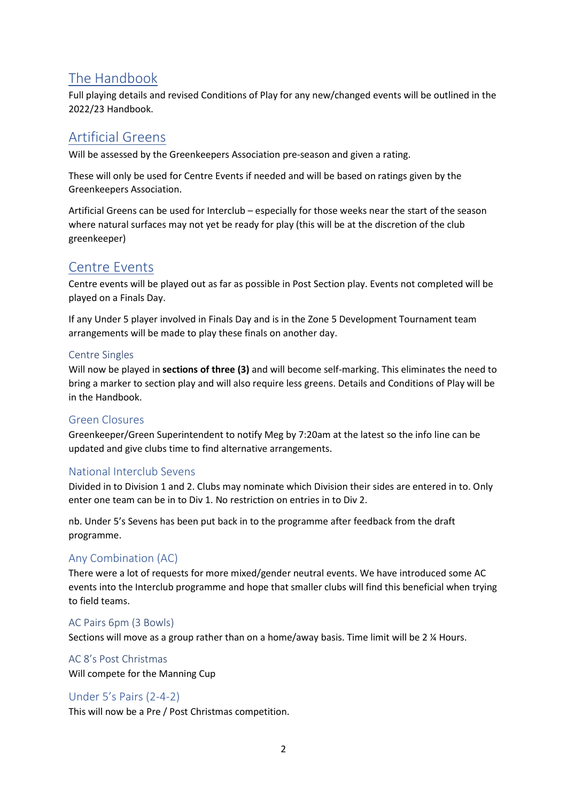# The Handbook

Full playing details and revised Conditions of Play for any new/changed events will be outlined in the 2022/23 Handbook.

# Artificial Greens

Will be assessed by the Greenkeepers Association pre-season and given a rating.

These will only be used for Centre Events if needed and will be based on ratings given by the Greenkeepers Association.

Artificial Greens can be used for Interclub – especially for those weeks near the start of the season where natural surfaces may not yet be ready for play (this will be at the discretion of the club greenkeeper)

# Centre Events

Centre events will be played out as far as possible in Post Section play. Events not completed will be played on a Finals Day.

If any Under 5 player involved in Finals Day and is in the Zone 5 Development Tournament team arrangements will be made to play these finals on another day.

#### Centre Singles

Will now be played in **sections of three (3)** and will become self-marking. This eliminates the need to bring a marker to section play and will also require less greens. Details and Conditions of Play will be in the Handbook.

## Green Closures

Greenkeeper/Green Superintendent to notify Meg by 7:20am at the latest so the info line can be updated and give clubs time to find alternative arrangements.

## National Interclub Sevens

Divided in to Division 1 and 2. Clubs may nominate which Division their sides are entered in to. Only enter one team can be in to Div 1. No restriction on entries in to Div 2.

nb. Under 5's Sevens has been put back in to the programme after feedback from the draft programme.

## Any Combination (AC)

There were a lot of requests for more mixed/gender neutral events. We have introduced some AC events into the Interclub programme and hope that smaller clubs will find this beneficial when trying to field teams.

#### AC Pairs 6pm (3 Bowls)

Sections will move as a group rather than on a home/away basis. Time limit will be 2 ¼ Hours.

#### AC 8's Post Christmas

Will compete for the Manning Cup

## Under 5's Pairs (2-4-2)

This will now be a Pre / Post Christmas competition.